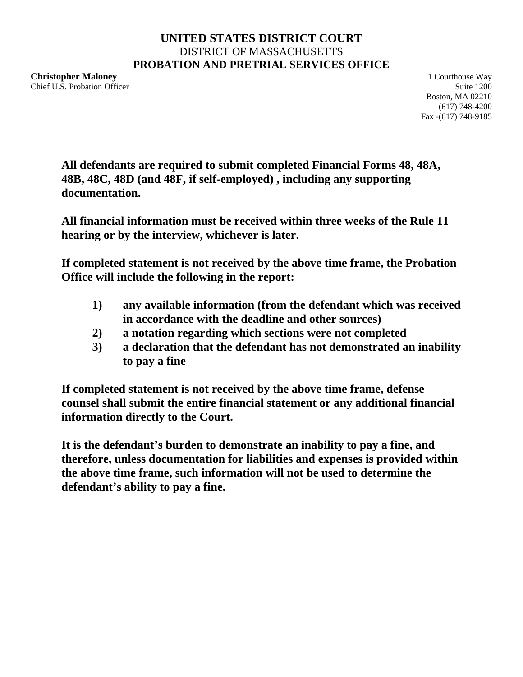## **UNITED STATES DISTRICT COURT** DISTRICT OF MASSACHUSETTS **PROBATION AND PRETRIAL SERVICES OFFICE**

**Christopher Maloney 1 Courthouse Way** Chief U.S. Probation Officer Suite 1200

Boston, MA 02210 (617) 748-4200 Fax -(617) 748-9185

**All defendants are required to submit completed Financial Forms 48, 48A, 48B, 48C, 48D (and 48F, if self-employed) , including any supporting documentation.**

**All financial information must be received within three weeks of the Rule 11 hearing or by the interview, whichever is later.**

**If completed statement is not received by the above time frame, the Probation Office will include the following in the report:**

- **1) any available information (from the defendant which was received in accordance with the deadline and other sources)**
- **2) a notation regarding which sections were not completed**
- **3) a declaration that the defendant has not demonstrated an inability to pay a fine**

**If completed statement is not received by the above time frame, defense counsel shall submit the entire financial statement or any additional financial information directly to the Court.**

**It is the defendant's burden to demonstrate an inability to pay a fine, and therefore, unless documentation for liabilities and expenses is provided within the above time frame, such information will not be used to determine the defendant's ability to pay a fine.**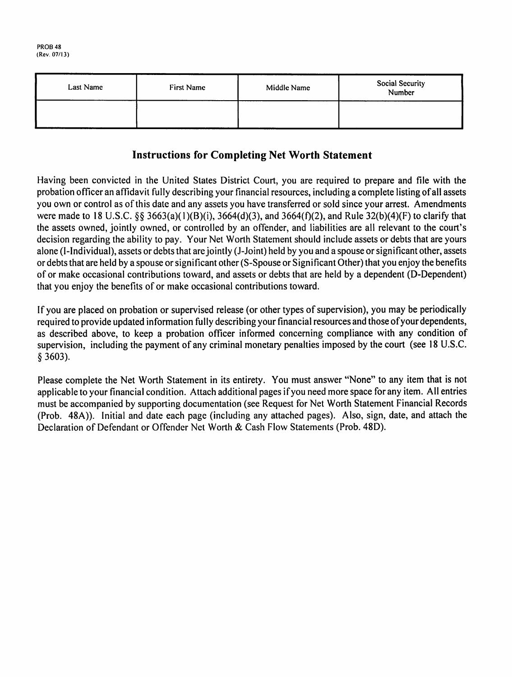| Last Name | First Name | Middle Name | Social Security<br>Number |  |  |
|-----------|------------|-------------|---------------------------|--|--|
|           |            |             |                           |  |  |

# **Instructions for Completing Net Worth Statement**

Having been convicted in the United States District Court, you are required to prepare and file with the probation officer an affidavit fully describing your financial resources, including a complete listing of all assets you own or control as of this date and any assets you have transferred or sold since your arrest. Amendments were made to 18 U.S.C. §§ 3663(a)(1)(B)(i), 3664(d)(3), and 3664(f)(2), and Rule 32(b)(4)(F) to clarify that the assets owned, jointly owned, or controlled by an offender, and liabilities are all relevant to the court's decision regarding the ability to pay. Your Net Worth Statement should include assets or debts that are yours alone (I-Individual), assets or debts that are jointly (J-Joint) held by you and a spouse or significant other, assets or debts that are held by a spouse or significant other (S-Spouse or Significant Other) that you enjoy the benefits of or make occasional contributions toward, and assets or debts that are held by a dependent (D-Dependent) that you enjoy the benefits of or make occasional contributions toward.

If you are placed on probation or supervised release (or other types of supervision), you may be periodically required to provide updated information fully describing your financial resources and those of your dependents, as described above, to keep a probation officer informed concerning compliance with any condition of supervision, including the payment of any criminal monetary penalties imposed by the court (see 18 U.S.C.  $§$  3603).

Please complete the Net Worth Statement in its entirety. You must answer "None" to any item that is not applicable to your financial condition. Attach additional pages if you need more space for any item. All entries must be accompanied by supporting documentation (see Request for Net Worth Statement Financial Records (Prob. 48A)). Initial and date each page (including any attached pages). Also, sign, date, and attach the Declaration of Defendant or Offender Net Worth & Cash Flow Statements (Prob. 48D).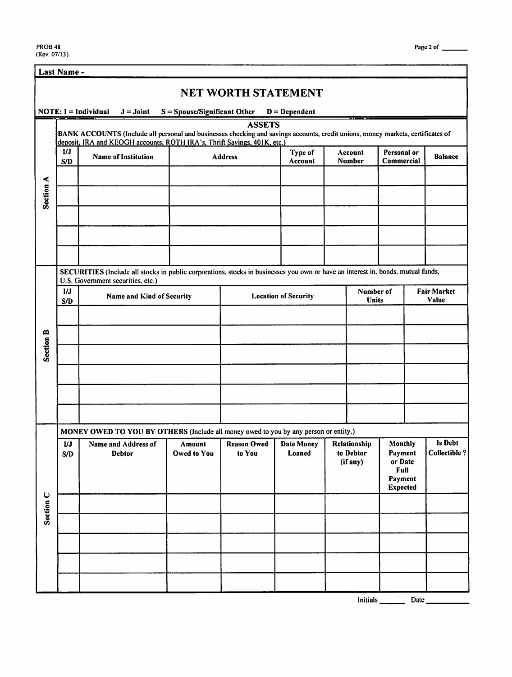|                  | Last Name -                             |                                                                                                                                                                                                             |                                |                              |                             |  |                                                                                                              |                           |                                       |
|------------------|-----------------------------------------|-------------------------------------------------------------------------------------------------------------------------------------------------------------------------------------------------------------|--------------------------------|------------------------------|-----------------------------|--|--------------------------------------------------------------------------------------------------------------|---------------------------|---------------------------------------|
|                  |                                         |                                                                                                                                                                                                             |                                | <b>NET WORTH STATEMENT</b>   |                             |  |                                                                                                              |                           |                                       |
|                  |                                         | $NOTE: I = Individual$<br>$J =$ Joint                                                                                                                                                                       | $S = Spouse/Significant Other$ |                              | $D = Dependent$             |  |                                                                                                              |                           |                                       |
|                  |                                         | BANK ACCOUNTS (Include all personal and businesses checking and savings accounts, credit unions, money markets, certificates of<br>deposit, IRA and KEOGH accounts, ROTH IRA's, Thrift Savings, 401K, etc.) |                                | <b>ASSETS</b>                |                             |  |                                                                                                              |                           |                                       |
|                  | IJ<br>S/D                               | <b>Name of Institution</b>                                                                                                                                                                                  |                                | <b>Address</b>               | Type of<br>Account          |  | Account<br><b>Number</b>                                                                                     | Personal or<br>Commercial | <b>Balance</b>                        |
|                  |                                         |                                                                                                                                                                                                             |                                |                              |                             |  |                                                                                                              |                           |                                       |
| Section A        |                                         |                                                                                                                                                                                                             |                                |                              |                             |  |                                                                                                              |                           |                                       |
|                  |                                         |                                                                                                                                                                                                             |                                |                              |                             |  |                                                                                                              |                           |                                       |
|                  |                                         |                                                                                                                                                                                                             |                                |                              |                             |  |                                                                                                              |                           |                                       |
|                  |                                         | SECURITIES (Include all stocks in public corporations, stocks in businesses you own or have an interest in, bonds, mutual funds,<br>U.S. Government securities, etc.)                                       |                                |                              |                             |  |                                                                                                              |                           |                                       |
|                  | I/J<br>Name and Kind of Security<br>S/D |                                                                                                                                                                                                             |                                |                              | <b>Location of Security</b> |  | Number of<br><b>Units</b>                                                                                    |                           | <b>Fair Market</b><br>Value           |
|                  |                                         |                                                                                                                                                                                                             |                                |                              |                             |  |                                                                                                              |                           |                                       |
| <b>Section B</b> |                                         |                                                                                                                                                                                                             |                                |                              |                             |  |                                                                                                              |                           |                                       |
|                  |                                         |                                                                                                                                                                                                             |                                |                              |                             |  |                                                                                                              |                           |                                       |
|                  |                                         |                                                                                                                                                                                                             |                                |                              |                             |  |                                                                                                              |                           |                                       |
|                  |                                         |                                                                                                                                                                                                             |                                |                              |                             |  |                                                                                                              |                           |                                       |
|                  |                                         | MONEY OWED TO YOU BY OTHERS (Include all money owed to you by any person or entity.)                                                                                                                        |                                |                              |                             |  |                                                                                                              |                           |                                       |
|                  | $\mathbf{I}/\mathbf{J}$<br>S/D          | Name and Address of<br><b>Debtor</b>                                                                                                                                                                        | Amount<br><b>Owed to You</b>   | <b>Reason Owed</b><br>to You | Date Money<br>Loaned        |  | Monthly<br>Relationship<br>to Debtor<br>Payment<br>or Date<br>(if any)<br>Full<br>Payment<br><b>Expected</b> |                           | <b>Is Debt</b><br><b>Collectible?</b> |
| Section C        |                                         |                                                                                                                                                                                                             |                                |                              |                             |  |                                                                                                              |                           |                                       |
|                  |                                         |                                                                                                                                                                                                             |                                |                              |                             |  |                                                                                                              |                           |                                       |
|                  |                                         |                                                                                                                                                                                                             |                                |                              |                             |  |                                                                                                              |                           |                                       |
|                  |                                         |                                                                                                                                                                                                             |                                |                              |                             |  |                                                                                                              |                           |                                       |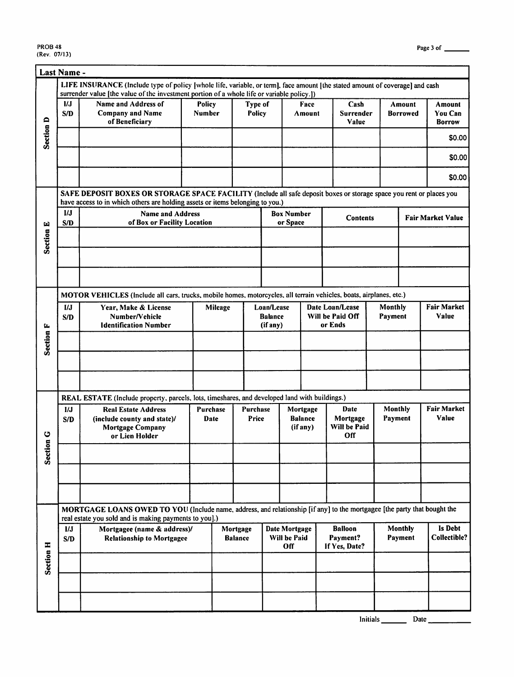$\overline{\phantom{a}}$ 

|                  | Last Name -                            |                                                                                                                                                                                                       |                                |  |                            |                                             |                                          |                       |                                             |                    |                           |                                    |
|------------------|----------------------------------------|-------------------------------------------------------------------------------------------------------------------------------------------------------------------------------------------------------|--------------------------------|--|----------------------------|---------------------------------------------|------------------------------------------|-----------------------|---------------------------------------------|--------------------|---------------------------|------------------------------------|
|                  |                                        | LIFE INSURANCE (Include type of policy [whole life, variable, or term], face amount [the stated amount of coverage] and cash                                                                          |                                |  |                            |                                             |                                          |                       |                                             |                    |                           |                                    |
|                  | UJ<br>S/D                              | surrender value [the value of the investment portion of a whole life or variable policy.])<br><b>Name and Address of</b><br><b>Company and Name</b><br>of Beneficiary                                 | <b>Policy</b><br><b>Number</b> |  | Type of<br>Policy          |                                             |                                          | <b>Face</b><br>Amount | Cash<br>Surrender<br>Value                  |                    | Amount<br><b>Borrowed</b> | Amount<br>You Can<br><b>Borrow</b> |
| <b>Section D</b> |                                        |                                                                                                                                                                                                       |                                |  |                            |                                             |                                          |                       |                                             |                    |                           | \$0.00                             |
|                  |                                        |                                                                                                                                                                                                       |                                |  |                            |                                             |                                          |                       |                                             |                    |                           | \$0.00                             |
|                  |                                        |                                                                                                                                                                                                       |                                |  |                            |                                             |                                          |                       |                                             |                    |                           | \$0.00                             |
|                  |                                        | SAFE DEPOSIT BOXES OR STORAGE SPACE FACILITY (Include all safe deposit boxes or storage space you rent or places you<br>have access to in which others are holding assets or items belonging to you.) |                                |  |                            |                                             |                                          |                       |                                             |                    |                           |                                    |
|                  | $\mathbf{I}/\mathbf{J}$                | <b>Name and Address</b>                                                                                                                                                                               |                                |  |                            |                                             | <b>Box Number</b>                        |                       | <b>Contents</b>                             |                    |                           | <b>Fair Market Value</b>           |
|                  | S/D                                    | of Box or Facility Location                                                                                                                                                                           |                                |  |                            |                                             | or Space                                 |                       |                                             |                    |                           |                                    |
| <b>Section E</b> |                                        |                                                                                                                                                                                                       |                                |  |                            |                                             |                                          |                       |                                             |                    |                           |                                    |
|                  |                                        |                                                                                                                                                                                                       |                                |  |                            |                                             |                                          |                       |                                             |                    |                           |                                    |
|                  |                                        | MOTOR VEHICLES (Include all cars, trucks, mobile homes, motorcycles, all terrain vehicles, boats, airplanes, etc.)                                                                                    |                                |  |                            |                                             |                                          |                       |                                             |                    |                           |                                    |
|                  | I/J<br>Year, Make & License<br>Mileage |                                                                                                                                                                                                       |                                |  |                            | Loan/Lease                                  |                                          |                       | Date Loan/Lease                             | Monthly            |                           | <b>Fair Market</b>                 |
|                  | S/D                                    | Number/Vehicle<br><b>Identification Number</b>                                                                                                                                                        |                                |  | Balance<br>(if any)        |                                             | Will be Paid Off<br>or Ends              |                       | Payment                                     | Value              |                           |                                    |
| Section F        |                                        |                                                                                                                                                                                                       |                                |  |                            |                                             |                                          |                       |                                             |                    |                           |                                    |
|                  |                                        |                                                                                                                                                                                                       |                                |  |                            |                                             |                                          |                       |                                             |                    |                           |                                    |
|                  |                                        |                                                                                                                                                                                                       |                                |  |                            |                                             |                                          |                       |                                             |                    |                           |                                    |
|                  |                                        | REAL ESTATE (Include property, parcels, lots, timeshares, and developed land with buildings.)                                                                                                         |                                |  |                            |                                             |                                          |                       |                                             |                    |                           |                                    |
| ပ                | 1/J<br>S/D                             | <b>Real Estate Address</b><br>(include county and state)/<br><b>Mortgage Company</b><br>or Lien Holder                                                                                                | Purchase<br>Date               |  | Purchase<br>Price          |                                             | Mortgage<br><b>Balance</b><br>$(if$ any) |                       | Date<br>Mortgage<br>Will be Paid<br>Off     | Monthly<br>Payment |                           | <b>Fair Market</b><br>Value        |
| Section          |                                        |                                                                                                                                                                                                       |                                |  |                            |                                             |                                          |                       |                                             |                    |                           |                                    |
|                  |                                        |                                                                                                                                                                                                       |                                |  |                            |                                             |                                          |                       |                                             |                    |                           |                                    |
|                  |                                        |                                                                                                                                                                                                       |                                |  |                            |                                             |                                          |                       |                                             |                    |                           |                                    |
|                  |                                        | MORTGAGE LOANS OWED TO YOU (Include name, address, and relationship [if any] to the mortgagee [the party that bought the<br>real estate you sold and is making payments to you].)                     |                                |  |                            |                                             |                                          |                       |                                             |                    |                           |                                    |
|                  | 1/J<br>S/D                             | Mortgagee (name & address)/<br><b>Relationship to Mortgagee</b>                                                                                                                                       |                                |  | Mortgage<br><b>Balance</b> | <b>Date Mortgage</b><br>Will be Paid<br>Off |                                          |                       | <b>Balloon</b><br>Payment?<br>If Yes, Date? | Monthly<br>Payment |                           | Is Debt<br>Collectible?            |
| Section H        |                                        |                                                                                                                                                                                                       |                                |  |                            |                                             |                                          |                       |                                             |                    |                           |                                    |
|                  |                                        |                                                                                                                                                                                                       |                                |  |                            |                                             |                                          |                       |                                             |                    |                           |                                    |
|                  |                                        |                                                                                                                                                                                                       |                                |  |                            |                                             |                                          |                       |                                             |                    |                           |                                    |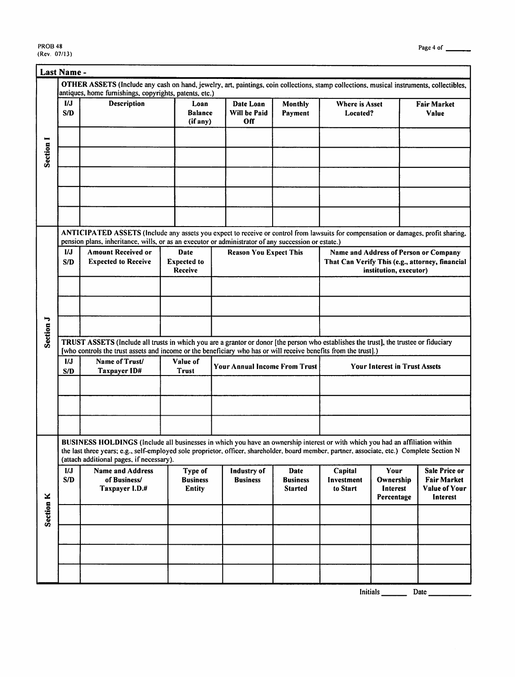|                      | Last Name -                                                                                                                                                                                                                               |                                                                                                                                                                                                                                                                                                                          |                                             |                                      |                                           |                                                                                                                    |                                             |                                                                         |  |  |  |
|----------------------|-------------------------------------------------------------------------------------------------------------------------------------------------------------------------------------------------------------------------------------------|--------------------------------------------------------------------------------------------------------------------------------------------------------------------------------------------------------------------------------------------------------------------------------------------------------------------------|---------------------------------------------|--------------------------------------|-------------------------------------------|--------------------------------------------------------------------------------------------------------------------|---------------------------------------------|-------------------------------------------------------------------------|--|--|--|
|                      |                                                                                                                                                                                                                                           | OTHER ASSETS (Include any cash on hand, jewelry, art, paintings, coin collections, stamp collections, musical instruments, collectibles,                                                                                                                                                                                 |                                             |                                      |                                           |                                                                                                                    |                                             |                                                                         |  |  |  |
|                      |                                                                                                                                                                                                                                           | antiques, home furnishings, copyrights, patents, etc.)                                                                                                                                                                                                                                                                   |                                             |                                      |                                           |                                                                                                                    |                                             |                                                                         |  |  |  |
|                      | UJ<br>S/D                                                                                                                                                                                                                                 | Description                                                                                                                                                                                                                                                                                                              | Loan<br><b>Balance</b><br>(if any)          | Date Loan<br>Will be Paid<br>Off     | Monthly<br>Payment                        | <b>Where is Asset</b><br>Located?                                                                                  |                                             | <b>Fair Market</b><br>Value                                             |  |  |  |
| Section I            |                                                                                                                                                                                                                                           |                                                                                                                                                                                                                                                                                                                          |                                             |                                      |                                           |                                                                                                                    |                                             |                                                                         |  |  |  |
|                      |                                                                                                                                                                                                                                           |                                                                                                                                                                                                                                                                                                                          |                                             |                                      |                                           |                                                                                                                    |                                             |                                                                         |  |  |  |
|                      | ANTICIPATED ASSETS (Include any assets you expect to receive or control from lawsuits for compensation or damages, profit sharing,<br>pension plans, inheritance, wills, or as an executor or administrator of any succession or estate.) |                                                                                                                                                                                                                                                                                                                          |                                             |                                      |                                           |                                                                                                                    |                                             |                                                                         |  |  |  |
|                      | 1/J                                                                                                                                                                                                                                       | <b>Amount Received or</b>                                                                                                                                                                                                                                                                                                | Date                                        | <b>Reason You Expect This</b>        |                                           |                                                                                                                    |                                             |                                                                         |  |  |  |
|                      | S/D                                                                                                                                                                                                                                       | <b>Expected to Receive</b>                                                                                                                                                                                                                                                                                               | <b>Expected</b> to<br>Receive               |                                      |                                           | Name and Address of Person or Company<br>That Can Verify This (e.g., attorney, financial<br>institution, executor) |                                             |                                                                         |  |  |  |
|                      |                                                                                                                                                                                                                                           |                                                                                                                                                                                                                                                                                                                          |                                             |                                      |                                           |                                                                                                                    |                                             |                                                                         |  |  |  |
| Section J            |                                                                                                                                                                                                                                           |                                                                                                                                                                                                                                                                                                                          |                                             |                                      |                                           |                                                                                                                    |                                             |                                                                         |  |  |  |
|                      |                                                                                                                                                                                                                                           |                                                                                                                                                                                                                                                                                                                          |                                             |                                      |                                           |                                                                                                                    |                                             |                                                                         |  |  |  |
|                      |                                                                                                                                                                                                                                           | TRUST ASSETS (Include all trusts in which you are a grantor or donor [the person who establishes the trust], the trustee or fiduciary<br>[who controls the trust assets and income or the beneficiary who has or will receive benefits from the trust].)                                                                 |                                             |                                      |                                           |                                                                                                                    |                                             |                                                                         |  |  |  |
|                      | $\boldsymbol{I}$<br>S/D                                                                                                                                                                                                                   | Name of Trust/<br>Taxpayer ID#                                                                                                                                                                                                                                                                                           | Value of<br>Trust                           | <b>Your Annual Income From Trust</b> |                                           | <b>Your Interest in Trust Assets</b>                                                                               |                                             |                                                                         |  |  |  |
|                      |                                                                                                                                                                                                                                           |                                                                                                                                                                                                                                                                                                                          |                                             |                                      |                                           |                                                                                                                    |                                             |                                                                         |  |  |  |
|                      |                                                                                                                                                                                                                                           |                                                                                                                                                                                                                                                                                                                          |                                             |                                      |                                           |                                                                                                                    |                                             |                                                                         |  |  |  |
|                      |                                                                                                                                                                                                                                           |                                                                                                                                                                                                                                                                                                                          |                                             |                                      |                                           |                                                                                                                    |                                             |                                                                         |  |  |  |
|                      |                                                                                                                                                                                                                                           | BUSINESS HOLDINGS (Include all businesses in which you have an ownership interest or with which you had an affiliation within<br>the last three years; e.g., self-employed sole proprietor, officer, shareholder, board member, partner, associate, etc.) Complete Section N<br>(attach additional pages, if necessary). |                                             |                                      |                                           |                                                                                                                    |                                             |                                                                         |  |  |  |
|                      | 1/J<br>S/D                                                                                                                                                                                                                                | <b>Name and Address</b><br>of Business/<br>Taxpayer I.D.#                                                                                                                                                                                                                                                                | Type of<br><b>Business</b><br><b>Entity</b> | Industry of<br><b>Business</b>       | Date<br><b>Business</b><br><b>Started</b> | Capital<br>Investment<br>to Start                                                                                  | Your<br>Ownership<br>Interest<br>Percentage | <b>Sale Price or</b><br><b>Fair Market</b><br>Value of Your<br>Interest |  |  |  |
| Section <sub>K</sub> |                                                                                                                                                                                                                                           |                                                                                                                                                                                                                                                                                                                          |                                             |                                      |                                           |                                                                                                                    |                                             |                                                                         |  |  |  |
|                      |                                                                                                                                                                                                                                           |                                                                                                                                                                                                                                                                                                                          |                                             |                                      |                                           |                                                                                                                    |                                             |                                                                         |  |  |  |
|                      |                                                                                                                                                                                                                                           |                                                                                                                                                                                                                                                                                                                          |                                             |                                      |                                           |                                                                                                                    |                                             |                                                                         |  |  |  |
|                      |                                                                                                                                                                                                                                           |                                                                                                                                                                                                                                                                                                                          |                                             |                                      |                                           |                                                                                                                    |                                             |                                                                         |  |  |  |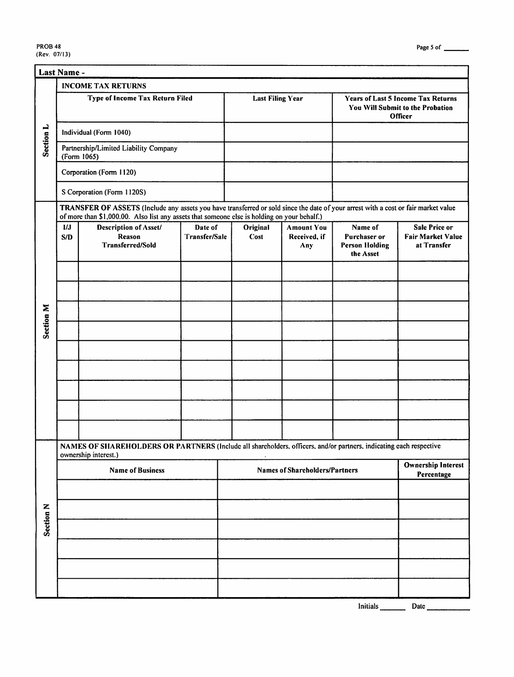|                      | Last Name -                                                                                                                                                                                                                       |                                                                                                                                            |                          |  |                         |                                          |                                                                                          |                                                                 |
|----------------------|-----------------------------------------------------------------------------------------------------------------------------------------------------------------------------------------------------------------------------------|--------------------------------------------------------------------------------------------------------------------------------------------|--------------------------|--|-------------------------|------------------------------------------|------------------------------------------------------------------------------------------|-----------------------------------------------------------------|
|                      |                                                                                                                                                                                                                                   | <b>INCOME TAX RETURNS</b>                                                                                                                  |                          |  |                         |                                          |                                                                                          |                                                                 |
|                      |                                                                                                                                                                                                                                   | Type of Income Tax Return Filed                                                                                                            |                          |  | <b>Last Filing Year</b> |                                          | <b>Years of Last 5 Income Tax Returns</b><br>You Will Submit to the Probation<br>Officer |                                                                 |
| Section L            |                                                                                                                                                                                                                                   | Individual (Form 1040)                                                                                                                     |                          |  |                         |                                          |                                                                                          |                                                                 |
|                      |                                                                                                                                                                                                                                   | Partnership/Limited Liability Company<br>(Form 1065)                                                                                       |                          |  |                         |                                          |                                                                                          |                                                                 |
|                      |                                                                                                                                                                                                                                   | Corporation (Form 1120)                                                                                                                    |                          |  |                         |                                          |                                                                                          |                                                                 |
|                      |                                                                                                                                                                                                                                   | S Corporation (Form 1120S)                                                                                                                 |                          |  |                         |                                          |                                                                                          |                                                                 |
|                      | TRANSFER OF ASSETS (Include any assets you have transferred or sold since the date of your arrest with a cost or fair market value<br>of more than \$1,000.00. Also list any assets that someone else is holding on your behalf.) |                                                                                                                                            |                          |  |                         |                                          |                                                                                          |                                                                 |
|                      | IJ.<br>S/D                                                                                                                                                                                                                        | Description of Asset/<br>Reason<br><b>Transferred/Sold</b>                                                                                 | Date of<br>Transfer/Sale |  | Original<br>Cost        | <b>Amount You</b><br>Received, if<br>Any | Name of<br>Purchaser or<br><b>Person Holding</b><br>the Asset                            | <b>Sale Price or</b><br><b>Fair Market Value</b><br>at Transfer |
|                      |                                                                                                                                                                                                                                   |                                                                                                                                            |                          |  |                         |                                          |                                                                                          |                                                                 |
| <b>Section M</b>     |                                                                                                                                                                                                                                   |                                                                                                                                            |                          |  |                         |                                          |                                                                                          |                                                                 |
|                      |                                                                                                                                                                                                                                   |                                                                                                                                            |                          |  |                         |                                          |                                                                                          |                                                                 |
|                      |                                                                                                                                                                                                                                   |                                                                                                                                            |                          |  |                         |                                          |                                                                                          |                                                                 |
|                      |                                                                                                                                                                                                                                   |                                                                                                                                            |                          |  |                         |                                          |                                                                                          |                                                                 |
|                      |                                                                                                                                                                                                                                   |                                                                                                                                            |                          |  |                         |                                          |                                                                                          |                                                                 |
|                      |                                                                                                                                                                                                                                   |                                                                                                                                            |                          |  |                         |                                          |                                                                                          |                                                                 |
|                      |                                                                                                                                                                                                                                   |                                                                                                                                            |                          |  |                         |                                          |                                                                                          |                                                                 |
|                      |                                                                                                                                                                                                                                   | NAMES OF SHAREHOLDERS OR PARTNERS (Include all shareholders, officers, and/or partners, indicating each respective<br>ownership interest.) |                          |  |                         |                                          |                                                                                          |                                                                 |
|                      |                                                                                                                                                                                                                                   | <b>Name of Business</b>                                                                                                                    |                          |  |                         | <b>Names of Shareholders/Partners</b>    |                                                                                          | <b>Ownership Interest</b><br>Percentage                         |
|                      |                                                                                                                                                                                                                                   |                                                                                                                                            |                          |  |                         |                                          |                                                                                          |                                                                 |
| Section <sub>N</sub> |                                                                                                                                                                                                                                   |                                                                                                                                            |                          |  |                         |                                          |                                                                                          |                                                                 |
|                      |                                                                                                                                                                                                                                   |                                                                                                                                            |                          |  |                         |                                          |                                                                                          |                                                                 |
|                      |                                                                                                                                                                                                                                   |                                                                                                                                            |                          |  |                         |                                          |                                                                                          |                                                                 |
|                      |                                                                                                                                                                                                                                   |                                                                                                                                            |                          |  |                         |                                          |                                                                                          |                                                                 |
|                      |                                                                                                                                                                                                                                   |                                                                                                                                            |                          |  |                         |                                          |                                                                                          |                                                                 |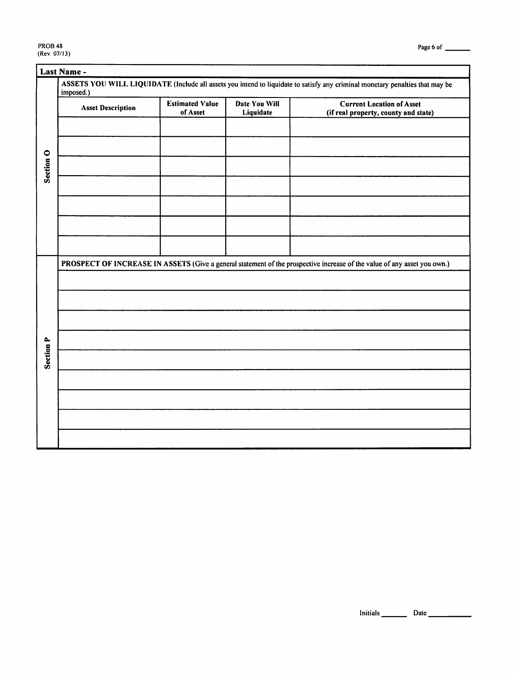|                  | imposed.)                |                                    |                            |                                                                                                                          |
|------------------|--------------------------|------------------------------------|----------------------------|--------------------------------------------------------------------------------------------------------------------------|
|                  | <b>Asset Description</b> | <b>Estimated Value</b><br>of Asset | Date You Will<br>Liquidate | <b>Current Location of Asset</b><br>(if real property, county and state)                                                 |
|                  |                          |                                    |                            |                                                                                                                          |
|                  |                          |                                    |                            |                                                                                                                          |
| Section O        |                          |                                    |                            |                                                                                                                          |
|                  |                          |                                    |                            |                                                                                                                          |
|                  |                          |                                    |                            |                                                                                                                          |
|                  |                          |                                    |                            |                                                                                                                          |
|                  |                          |                                    |                            |                                                                                                                          |
|                  |                          |                                    |                            | PROSPECT OF INCREASE IN ASSETS (Give a general statement of the prospective increase of the value of any asset you own.) |
|                  |                          |                                    |                            |                                                                                                                          |
|                  |                          |                                    |                            |                                                                                                                          |
|                  |                          |                                    |                            |                                                                                                                          |
|                  |                          |                                    |                            |                                                                                                                          |
|                  |                          |                                    |                            |                                                                                                                          |
| <b>Section P</b> |                          |                                    |                            |                                                                                                                          |
|                  |                          |                                    |                            |                                                                                                                          |
|                  |                          |                                    |                            |                                                                                                                          |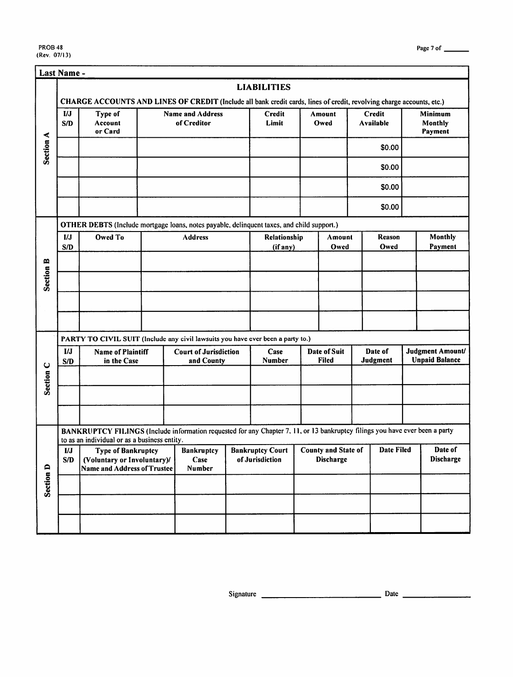|                      | Last Name -                                                                               |                                                                                                                                                                              |                |                                        |                                                                                 |                    |                                     |                |                       |                            |                    |                                           |  |
|----------------------|-------------------------------------------------------------------------------------------|------------------------------------------------------------------------------------------------------------------------------------------------------------------------------|----------------|----------------------------------------|---------------------------------------------------------------------------------|--------------------|-------------------------------------|----------------|-----------------------|----------------------------|--------------------|-------------------------------------------|--|
|                      |                                                                                           |                                                                                                                                                                              |                |                                        |                                                                                 | <b>LIABILITIES</b> |                                     |                |                       |                            |                    |                                           |  |
|                      | I/J<br>S/D                                                                                | CHARGE ACCOUNTS AND LINES OF CREDIT (Include all bank credit cards, lines of credit, revolving charge accounts, etc.)<br>Type of<br>Account<br>or Card                       |                | <b>Name and Address</b><br>of Creditor |                                                                                 | Credit<br>Limit    |                                     | Amount<br>Owed |                       | Credit<br><b>Available</b> |                    | <b>Minimum</b><br>Monthly<br>Payment      |  |
| Section A            |                                                                                           |                                                                                                                                                                              |                |                                        |                                                                                 |                    |                                     |                |                       | \$0.00                     |                    |                                           |  |
|                      |                                                                                           |                                                                                                                                                                              |                |                                        |                                                                                 |                    |                                     |                |                       | \$0.00                     |                    |                                           |  |
|                      |                                                                                           |                                                                                                                                                                              |                |                                        |                                                                                 |                    |                                     |                |                       | \$0.00                     |                    |                                           |  |
|                      |                                                                                           |                                                                                                                                                                              |                |                                        |                                                                                 |                    |                                     |                |                       | \$0.00                     |                    |                                           |  |
|                      | OTHER DEBTS (Include mortgage loans, notes payable, delinquent taxes, and child support.) |                                                                                                                                                                              |                |                                        |                                                                                 |                    |                                     |                |                       |                            |                    |                                           |  |
|                      | I/J<br>S/D                                                                                | Owed To                                                                                                                                                                      | <b>Address</b> |                                        | Relationship<br>(if any)                                                        |                    | Amount<br>Owed                      |                | <b>Reason</b><br>Owed |                            | Monthly<br>Payment |                                           |  |
|                      |                                                                                           |                                                                                                                                                                              |                |                                        |                                                                                 |                    |                                     |                |                       |                            |                    |                                           |  |
| <b>Section B</b>     |                                                                                           |                                                                                                                                                                              |                |                                        |                                                                                 |                    |                                     |                |                       |                            |                    |                                           |  |
|                      |                                                                                           |                                                                                                                                                                              |                |                                        |                                                                                 |                    |                                     |                |                       |                            |                    |                                           |  |
|                      |                                                                                           |                                                                                                                                                                              |                |                                        |                                                                                 |                    |                                     |                |                       |                            |                    |                                           |  |
|                      | PARTY TO CIVIL SUIT (Include any civil lawsuits you have ever been a party to.)           |                                                                                                                                                                              |                |                                        |                                                                                 |                    |                                     |                |                       |                            |                    |                                           |  |
|                      | $_{IJ}$<br>S/D                                                                            | <b>Name of Plaintiff</b><br>in the Case                                                                                                                                      |                | and County                             | <b>Court of Jurisdiction</b>                                                    |                    | <b>Date of Suit</b><br><b>Filed</b> |                | Date of<br>Judgment   |                            |                    | Judgment Amount/<br><b>Unpaid Balance</b> |  |
| Section <sub>C</sub> |                                                                                           |                                                                                                                                                                              |                |                                        |                                                                                 |                    |                                     |                |                       |                            |                    |                                           |  |
|                      |                                                                                           |                                                                                                                                                                              |                |                                        |                                                                                 |                    |                                     |                |                       |                            |                    |                                           |  |
|                      |                                                                                           |                                                                                                                                                                              |                |                                        |                                                                                 |                    |                                     |                |                       |                            |                    |                                           |  |
|                      |                                                                                           | BANKRUPTCY FILINGS (Include information requested for any Chapter 7, 11, or 13 bankruptcy filings you have ever been a party<br>to as an individual or as a business entity. |                |                                        |                                                                                 |                    |                                     |                |                       |                            |                    |                                           |  |
|                      | $\overline{M}$<br>S/D                                                                     | Type of Bankruptcy<br>(Voluntary or Involuntary)/<br>Name and Address of Trustee                                                                                             |                | <b>Bankruptcy</b><br>Case<br>Number    | <b>Bankruptcy Court   County and State of   Date Filed  </b><br>of Jurisdiction |                    | <b>Discharge</b>                    |                |                       |                            |                    | Date of<br>Discharge                      |  |
| Section D            |                                                                                           |                                                                                                                                                                              |                |                                        |                                                                                 |                    |                                     |                |                       |                            |                    |                                           |  |
|                      |                                                                                           |                                                                                                                                                                              |                |                                        |                                                                                 |                    |                                     |                |                       |                            |                    |                                           |  |
|                      |                                                                                           |                                                                                                                                                                              |                |                                        |                                                                                 |                    |                                     |                |                       |                            |                    |                                           |  |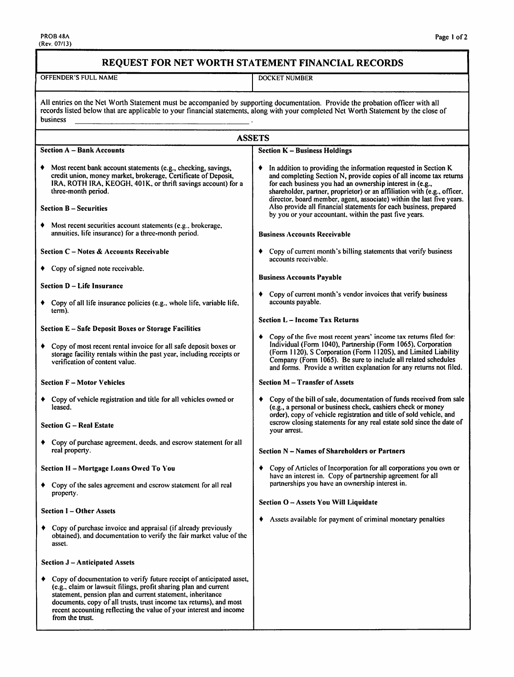#### REQUEST FOR NET WORTH STATEMENT FINANCIAL RECORDS

**OFFENDER'S FULL NAME** 

**DOCKET NUMBER** 

All entries on the Net Worth Statement must be accompanied by supporting documentation. Provide the probation officer with all records listed below that are applicable to your financial statements, along with your complete business

|   | <b>ASSETS</b>                                                                                                                                                                                                                                                                                                                                                         |                                                                                                                                                                                                                                                                                                                                                                                                                                                                                             |
|---|-----------------------------------------------------------------------------------------------------------------------------------------------------------------------------------------------------------------------------------------------------------------------------------------------------------------------------------------------------------------------|---------------------------------------------------------------------------------------------------------------------------------------------------------------------------------------------------------------------------------------------------------------------------------------------------------------------------------------------------------------------------------------------------------------------------------------------------------------------------------------------|
|   | <b>Section A – Bank Accounts</b>                                                                                                                                                                                                                                                                                                                                      | <b>Section K - Business Holdings</b>                                                                                                                                                                                                                                                                                                                                                                                                                                                        |
|   | Most recent bank account statements (e.g., checking, savings,<br>credit union, money market, brokerage, Certificate of Deposit,<br>IRA, ROTH IRA, KEOGH, 401K, or thrift savings account) for a<br>three-month period.<br><b>Section B – Securities</b>                                                                                                               | In addition to providing the information requested in Section K<br>٠<br>and completing Section N, provide copies of all income tax returns<br>for each business you had an ownership interest in (e.g.,<br>shareholder, partner, proprietor) or an affiliation with (e.g., officer,<br>director, board member, agent, associate) within the last five years.<br>Also provide all financial statements for each business, prepared<br>by you or your accountant, within the past five years. |
|   | Most recent securities account statements (e.g., brokerage,<br>annuities, life insurance) for a three-month period.                                                                                                                                                                                                                                                   | <b>Business Accounts Receivable</b>                                                                                                                                                                                                                                                                                                                                                                                                                                                         |
|   | Section C – Notes & Accounts Receivable                                                                                                                                                                                                                                                                                                                               | Copy of current month's billing statements that verify business<br>٠<br>accounts receivable.                                                                                                                                                                                                                                                                                                                                                                                                |
|   | Copy of signed note receivable.                                                                                                                                                                                                                                                                                                                                       | <b>Business Accounts Payable</b>                                                                                                                                                                                                                                                                                                                                                                                                                                                            |
|   | Section D - Life Insurance                                                                                                                                                                                                                                                                                                                                            |                                                                                                                                                                                                                                                                                                                                                                                                                                                                                             |
|   | • Copy of all life insurance policies (e.g., whole life, variable life,<br>term).                                                                                                                                                                                                                                                                                     | Copy of current month's vendor invoices that verify business<br>٠<br>accounts payable.                                                                                                                                                                                                                                                                                                                                                                                                      |
|   | Section E - Safe Deposit Boxes or Storage Facilities                                                                                                                                                                                                                                                                                                                  | <b>Section L - Income Tax Returns</b>                                                                                                                                                                                                                                                                                                                                                                                                                                                       |
|   | Copy of most recent rental invoice for all safe deposit boxes or<br>storage facility rentals within the past year, including receipts or<br>verification of content value.                                                                                                                                                                                            | $\bullet$ Copy of the five most recent years' income tax returns filed for:<br>Individual (Form 1040), Partnership (Form 1065), Corporation<br>(Form 1120), S Corporation (Form 1120S), and Limited Liability<br>Company (Form 1065). Be sure to include all related schedules<br>and forms. Provide a written explanation for any returns not filed.                                                                                                                                       |
|   | <b>Section F - Motor Vehicles</b>                                                                                                                                                                                                                                                                                                                                     | <b>Section M – Transfer of Assets</b>                                                                                                                                                                                                                                                                                                                                                                                                                                                       |
|   | • Copy of vehicle registration and title for all vehicles owned or<br>leased.                                                                                                                                                                                                                                                                                         | Copy of the bill of sale, documentation of funds received from sale<br>(e.g., a personal or business check, cashiers check or money<br>order), copy of vehicle registration and title of sold vehicle, and<br>escrow closing statements for any real estate sold since the date of                                                                                                                                                                                                          |
|   | <b>Section G - Real Estate</b>                                                                                                                                                                                                                                                                                                                                        | your arrest.                                                                                                                                                                                                                                                                                                                                                                                                                                                                                |
|   | Copy of purchase agreement, deeds, and escrow statement for all<br>real property.                                                                                                                                                                                                                                                                                     | Section N - Names of Shareholders or Partners                                                                                                                                                                                                                                                                                                                                                                                                                                               |
|   | Section H - Mortgage Loans Owed To You                                                                                                                                                                                                                                                                                                                                | Copy of Articles of Incorporation for all corporations you own or                                                                                                                                                                                                                                                                                                                                                                                                                           |
|   | Copy of the sales agreement and escrow statement for all real<br>property.                                                                                                                                                                                                                                                                                            | have an interest in. Copy of partnership agreement for all<br>partnerships you have an ownership interest in.                                                                                                                                                                                                                                                                                                                                                                               |
|   | <b>Section I - Other Assets</b>                                                                                                                                                                                                                                                                                                                                       | Section O - Assets You Will Liquidate<br>Assets available for payment of criminal monetary penalties                                                                                                                                                                                                                                                                                                                                                                                        |
|   | • Copy of purchase invoice and appraisal (if already previously<br>obtained), and documentation to verify the fair market value of the<br>asset.                                                                                                                                                                                                                      |                                                                                                                                                                                                                                                                                                                                                                                                                                                                                             |
|   | Section J - Anticipated Assets                                                                                                                                                                                                                                                                                                                                        |                                                                                                                                                                                                                                                                                                                                                                                                                                                                                             |
| ٠ | Copy of documentation to verify future receipt of anticipated asset,<br>(e.g., claim or lawsuit filings, profit sharing plan and current<br>statement, pension plan and current statement, inheritance<br>documents, copy of all trusts, trust income tax returns), and most<br>recent accounting reflecting the value of your interest and income<br>from the trust. |                                                                                                                                                                                                                                                                                                                                                                                                                                                                                             |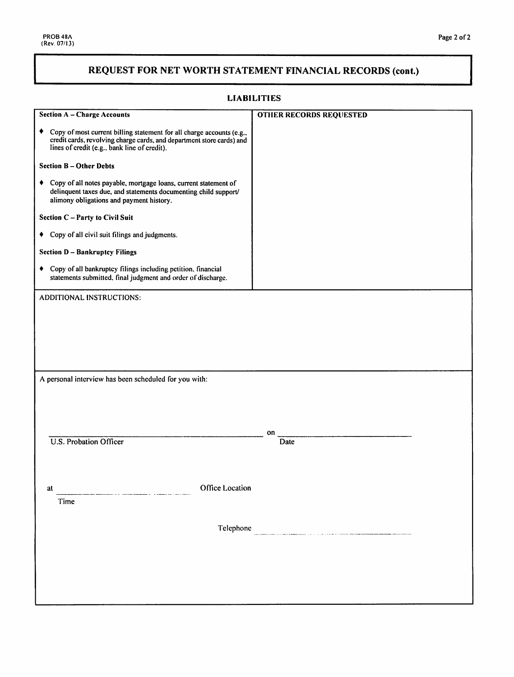# REQUEST FOR NET WORTH STATEMENT FINANCIAL RECORDS (cont.)

|  | <b>LIABILITIES</b> |  |
|--|--------------------|--|
|  |                    |  |

| <b>Section A - Charge Accounts</b>                                                                                                                                                                  | <b>OTHER RECORDS REQUESTED</b> |
|-----------------------------------------------------------------------------------------------------------------------------------------------------------------------------------------------------|--------------------------------|
| Copy of most current billing statement for all charge accounts (e.g.,<br>٠<br>credit cards, revolving charge cards, and department store cards) and<br>lines of credit (e.g., bank line of credit). |                                |
| <b>Section B-Other Debts</b>                                                                                                                                                                        |                                |
| Copy of all notes payable, mortgage loans, current statement of<br>٠<br>delinquent taxes due, and statements documenting child support/<br>alimony obligations and payment history.                 |                                |
| Section C - Party to Civil Suit                                                                                                                                                                     |                                |
| • Copy of all civil suit filings and judgments.                                                                                                                                                     |                                |
| <b>Section D - Bankruptcy Filings</b>                                                                                                                                                               |                                |
| • Copy of all bankruptcy filings including petition, financial<br>statements submitted, final judgment and order of discharge.                                                                      |                                |
| <b>ADDITIONAL INSTRUCTIONS:</b>                                                                                                                                                                     |                                |
|                                                                                                                                                                                                     |                                |
|                                                                                                                                                                                                     |                                |
|                                                                                                                                                                                                     |                                |
|                                                                                                                                                                                                     |                                |
| A personal interview has been scheduled for you with:                                                                                                                                               |                                |
|                                                                                                                                                                                                     |                                |
|                                                                                                                                                                                                     |                                |
|                                                                                                                                                                                                     | on                             |
| <b>U.S. Probation Officer</b>                                                                                                                                                                       | Date                           |
|                                                                                                                                                                                                     |                                |
|                                                                                                                                                                                                     |                                |
| Office Location<br>at<br>Time                                                                                                                                                                       |                                |
|                                                                                                                                                                                                     |                                |
| Telephone                                                                                                                                                                                           |                                |
|                                                                                                                                                                                                     |                                |
|                                                                                                                                                                                                     |                                |
|                                                                                                                                                                                                     |                                |
|                                                                                                                                                                                                     |                                |
|                                                                                                                                                                                                     |                                |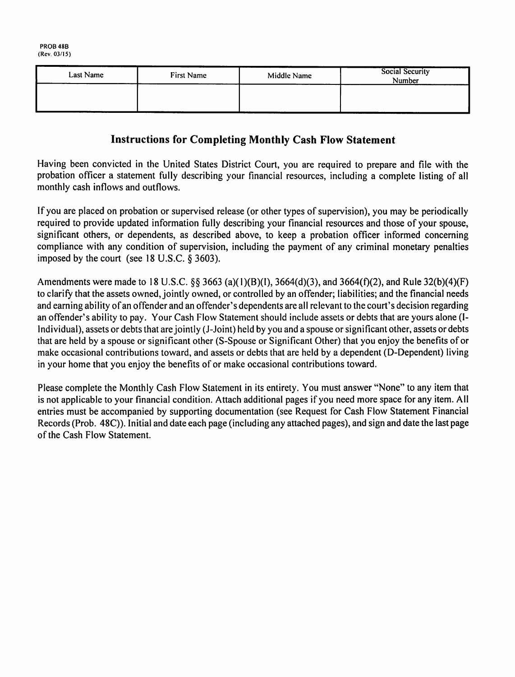| Last Name | First Name | Middle Name | Social Security<br>Number |
|-----------|------------|-------------|---------------------------|
|           |            |             |                           |
|           |            |             |                           |

## **Instructions for Completing Monthly Cash Flow Statement**

Having been convicted in the United States District Court, you are required to prepare and file with the probation officer a statement fully describing your financial resources, including a complete listing of all monthly cash inflows and outflows.

If you are placed on probation or supervised release (or other types of supervision), you may be periodically required to provide updated information fully describing your financial resources and those of your spouse. significant others, or dependents, as described above, to keep a probation officer informed concerning compliance with any condition of supervision, including the payment of any criminal monetary penalties imposed by the court (see 18 U.S.C.  $\S$  3603).

Amendments were made to 18 U.S.C. §§ 3663 (a)(1)(B)(I), 3664(d)(3), and 3664(f)(2), and Rule 32(b)(4)(F) to clarify that the assets owned, jointly owned, or controlled by an offender; liabilities; and the financial needs and earning ability of an offender and an offender's dependents are all relevant to the court's decision regarding an offender's ability to pay. Your Cash Flow Statement should include assets or debts that are yours alone (I-Individual), assets or debts that are jointly (J-Joint) held by you and a spouse or significant other, assets or debts that are held by a spouse or significant other (S-Spouse or Significant Other) that you enjoy the benefits of or make occasional contributions toward, and assets or debts that are held by a dependent (D-Dependent) living in your home that you enjoy the benefits of or make occasional contributions toward.

Please complete the Monthly Cash Flow Statement in its entirety. You must answer "None" to any item that is not applicable to your financial condition. Attach additional pages if you need more space for any item. All entries must be accompanied by supporting documentation (see Request for Cash Flow Statement Financial Records (Prob. 48C)). Initial and date each page (including any attached pages), and sign and date the last page of the Cash Flow Statement.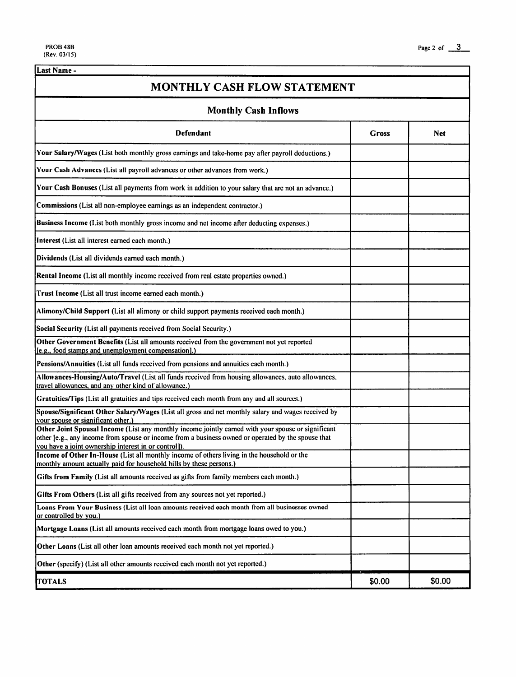Last Name -

**MONTHLY CASH FLOW STATEMENT Monthly Cash Inflows Defendant Gross Net** Your Salary/Wages (List both monthly gross earnings and take-home pay after payroll deductions.) Your Cash Advances (List all payroll advances or other advances from work.) Your Cash Bonuses (List all payments from work in addition to your salary that are not an advance.) Commissions (List all non-employee earnings as an independent contractor.) Business Income (List both monthly gross income and net income after deducting expenses.) Interest (List all interest earned each month.) Dividends (List all dividends earned each month.) Rental Income (List all monthly income received from real estate properties owned.) Trust Income (List all trust income earned each month.) Alimony/Child Support (List all alimony or child support payments received each month.) Social Security (List all payments received from Social Security.) Other Government Benefits (List all amounts received from the government not yet reported [e.g., food stamps and unemployment compensation].] Pensions/Annuities (List all funds received from pensions and annuities each month.) Allowances-Housing/Auto/Travel (List all funds received from housing allowances, auto allowances, travel allowances, and any other kind of allowance.) Gratuities/Tips (List all gratuities and tips received each month from any and all sources.) Spouse/Significant Other Salary/Wages (List all gross and net monthly salary and wages received by your spouse or significant other.) Other Joint Spousal Income (List any monthly income jointly earned with your spouse or significant other [e.g., any income from spouse or income from a business owned or operated by the spouse that you have a joint ownership interest in or control]). Income of Other In-House (List all monthly income of others living in the household or the monthly amount actually paid for household bills by these persons.) Gifts from Family (List all amounts received as gifts from family members each month.) Gifts From Others (List all gifts received from any sources not yet reported.) Loans From Your Business (List all loan amounts received each month from all businesses owned or controlled by you.) Mortgage Loans (List all amounts received each month from mortgage loans owed to you.) Other Loans (List all other loan amounts received each month not yet reported.) Other (specify) (List all other amounts received each month not yet reported.) \$0.00 \$0.00 **TOTALS**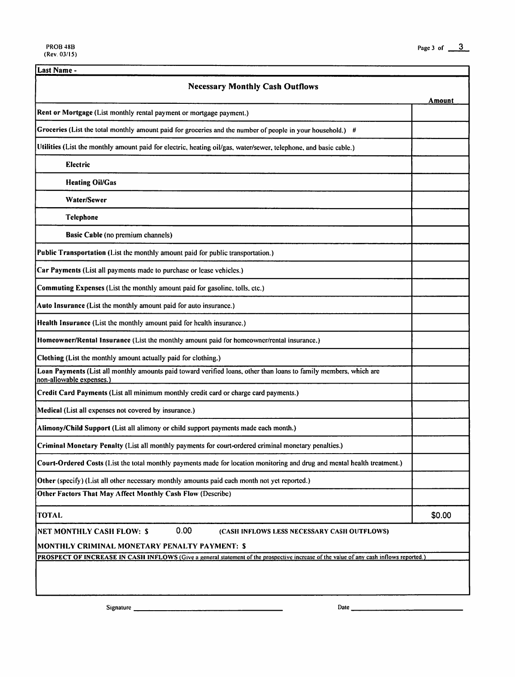| Last Name -                                                                                                                                   |        |
|-----------------------------------------------------------------------------------------------------------------------------------------------|--------|
| <b>Necessary Monthly Cash Outflows</b>                                                                                                        |        |
| Rent or Mortgage (List monthly rental payment or mortgage payment.)                                                                           | Amount |
|                                                                                                                                               |        |
| Groceries (List the total monthly amount paid for groceries and the number of people in your household.) #                                    |        |
| Utilities (List the monthly amount paid for electric, heating oil/gas, water/sewer, telephone, and basic cable.)                              |        |
| <b>Electric</b>                                                                                                                               |        |
| <b>Heating Oil/Gas</b>                                                                                                                        |        |
| Water/Sewer                                                                                                                                   |        |
| Telephone                                                                                                                                     |        |
| <b>Basic Cable (no premium channels)</b>                                                                                                      |        |
| Public Transportation (List the monthly amount paid for public transportation.)                                                               |        |
| Car Payments (List all payments made to purchase or lease vehicles.)                                                                          |        |
| Commuting Expenses (List the monthly amount paid for gasoline, tolls, etc.)                                                                   |        |
| Auto Insurance (List the monthly amount paid for auto insurance.)                                                                             |        |
| Health Insurance (List the monthly amount paid for health insurance.)                                                                         |        |
| Homeowner/Rental Insurance (List the monthly amount paid for homeowner/rental insurance.)                                                     |        |
| Clothing (List the monthly amount actually paid for clothing.)                                                                                |        |
| Loan Payments (List all monthly amounts paid toward verified loans, other than loans to family members, which are<br>non-allowable expenses.) |        |
| Credit Card Payments (List all minimum monthly credit card or charge card payments.)                                                          |        |
| Medical (List all expenses not covered by insurance.)                                                                                         |        |
| Alimony/Child Support (List all alimony or child support payments made each month.)                                                           |        |
| Criminal Monetary Penalty (List all monthly payments for court-ordered criminal monetary penalties.)                                          |        |
| Court-Ordered Costs (List the total monthly payments made for location monitoring and drug and mental health treatment.)                      |        |
| Other (specify) (List all other necessary monthly amounts paid each month not yet reported.)                                                  |        |
| Other Factors That May Affect Monthly Cash Flow (Describe)                                                                                    |        |
| <b>TOTAL</b>                                                                                                                                  | \$0.00 |
| 0.00<br><b>NET MONTHLY CASH FLOW: \$</b><br>(CASH INFLOWS LESS NECESSARY CASH OUTFLOWS)                                                       |        |
| MONTHLY CRIMINAL MONETARY PENALTY PAYMENT: \$                                                                                                 |        |
| <b>PROSPECT OF INCREASE IN CASH INFLOWS</b> (Give a general statement of the prospective increase of the value of any cash inflows reported.) |        |
|                                                                                                                                               |        |
|                                                                                                                                               |        |

Signature \_

Date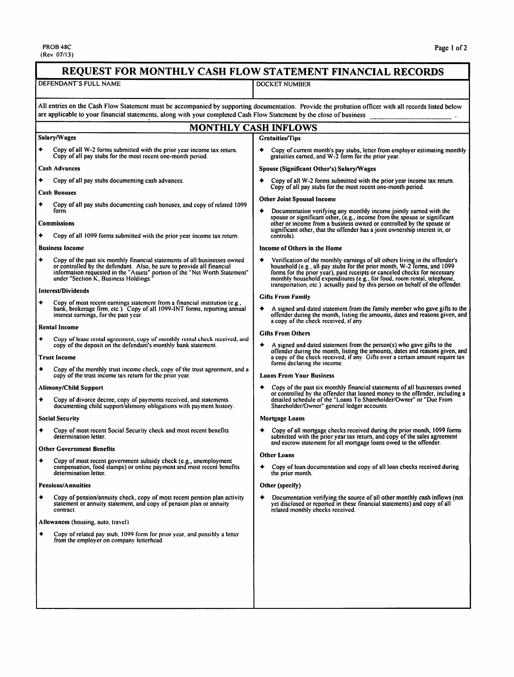PROB 48C<br>(Rev. 07/13)

| REQUEST FOR MONTHLY CASH FLOW STATEMENT FINANCIAL RECORDS                                                                                                                                                                                                                       |                                                                                                                                                                                                                                                                                                                                                                                                 |  |
|---------------------------------------------------------------------------------------------------------------------------------------------------------------------------------------------------------------------------------------------------------------------------------|-------------------------------------------------------------------------------------------------------------------------------------------------------------------------------------------------------------------------------------------------------------------------------------------------------------------------------------------------------------------------------------------------|--|
| DEFENDANT'S FULL NAME                                                                                                                                                                                                                                                           | DOCKET NUMBER                                                                                                                                                                                                                                                                                                                                                                                   |  |
| All entries on the Cash Flow Statement must be accompanied by supporting documentation. Provide the probation officer with all records listed below<br>are applicable to your financial statements, along with your completed Cash Flow Statement by the close of business      |                                                                                                                                                                                                                                                                                                                                                                                                 |  |
| <b>MONTHLY CASH INFLOWS</b>                                                                                                                                                                                                                                                     |                                                                                                                                                                                                                                                                                                                                                                                                 |  |
| Salary/Wages                                                                                                                                                                                                                                                                    | <b>Gratuities/Tips</b>                                                                                                                                                                                                                                                                                                                                                                          |  |
| Copy of all W-2 forms submitted with the prior year income tax return.<br>Copy of all pay stubs for the most recent one-month period.                                                                                                                                           | Copy of current month's pay stubs, letter from employer estimating monthly<br>gratuities earned, and W-2 form for the prior year.                                                                                                                                                                                                                                                               |  |
| <b>Cash Advances</b>                                                                                                                                                                                                                                                            | Spouse (Significant Other's) Salary/Wages                                                                                                                                                                                                                                                                                                                                                       |  |
| Copy of all pay stubs documenting cash advances.                                                                                                                                                                                                                                | Copy of all W-2 forms submitted with the prior year income tax return.                                                                                                                                                                                                                                                                                                                          |  |
| <b>Cash Bonuses</b>                                                                                                                                                                                                                                                             | Copy of all pay stubs for the most recent one-month period.<br><b>Other Joint Spousal Income</b>                                                                                                                                                                                                                                                                                                |  |
| Copy of all pay stubs documenting cash bonuses, and copy of related 1099<br>٠<br>form.                                                                                                                                                                                          | Documentation verifying any monthly income jointly earned with the                                                                                                                                                                                                                                                                                                                              |  |
| <b>Commissions</b>                                                                                                                                                                                                                                                              | spouse or significant other, (e.g., income from the spouse or significant<br>other or income from a business owned or controlled by the spouse or<br>significant other, that the offender has a joint ownership interest in, or                                                                                                                                                                 |  |
| Copy of all 1099 forms submitted with the prior year income tax return.                                                                                                                                                                                                         | controls).                                                                                                                                                                                                                                                                                                                                                                                      |  |
| <b>Business Income</b>                                                                                                                                                                                                                                                          | Income of Others in the Home                                                                                                                                                                                                                                                                                                                                                                    |  |
| ٠<br>Copy of the past six monthly financial statements of all businesses owned<br>or controlled by the defendant. Also, be sure to provide all financial<br>information requested in the "Assets" portion of the "Net Worth Statement"<br>under "Section K, Business Holdings." | Verification of the monthly earnings of all others living in the offender's<br>household (e.g., all pay stubs for the prior month, W-2 forms, and 1099<br>forms for the prior year), paid receipts or canceled checks for necessary<br>monthly household expenditures (e.g., for food, room rental, telephone,<br>transportation, etc.) actually paid by this person on behalf of the offender. |  |
| Interest/Dividends                                                                                                                                                                                                                                                              | <b>Gifts From Family</b>                                                                                                                                                                                                                                                                                                                                                                        |  |
| Copy of most recent earnings statement from a financial institution (e.g.,<br>bank, brokerage firm, etc.). Copy of all 1099-INT forms, reporting annual<br>interest earnings, for the past year.                                                                                | A signed and dated statement from the family member who gave gifts to the<br>offender during the month, listing the amounts, dates and reasons given, and                                                                                                                                                                                                                                       |  |
| Rental Income                                                                                                                                                                                                                                                                   | a copy of the check received, if any.                                                                                                                                                                                                                                                                                                                                                           |  |
| ٠<br>Copy of lease rental agreement, copy of monthly rental check received, and<br>copy of the deposit on the defendant's monthly bank statement.                                                                                                                               | <b>Gifts From Others</b><br>A signed and dated statement from the person(s) who gave gifts to the<br>offender during the month, listing the amounts, dates and reasons given, and                                                                                                                                                                                                               |  |
| <b>Trust Income</b>                                                                                                                                                                                                                                                             | a copy of the check received, if any. Gifts over a certain amount require tax<br>forms declaring the income.                                                                                                                                                                                                                                                                                    |  |
| ٠<br>Copy of the monthly trust income check, copy of the trust agreement, and a<br>copy of the trust income tax return for the prior year.                                                                                                                                      | <b>Loans From Your Business</b>                                                                                                                                                                                                                                                                                                                                                                 |  |
| Alimony/Child Support                                                                                                                                                                                                                                                           | Copy of the past six monthly financial statements of all businesses owned<br>or controlled by the offender that loaned money to the offender, including a                                                                                                                                                                                                                                       |  |
| ٠<br>Copy of divorce decree, copy of payments received, and statements<br>documenting child support/alimony obligations with payment history.                                                                                                                                   | detailed schedule of the "Loans To Shareholder/Owner" or "Due From<br>Shareholder/Owner" general ledger accounts.                                                                                                                                                                                                                                                                               |  |
| <b>Social Security</b>                                                                                                                                                                                                                                                          | Mortgage Loans                                                                                                                                                                                                                                                                                                                                                                                  |  |
| Copy of most recent Social Security check and most recent benefits<br>determination letter.                                                                                                                                                                                     | Copy of all mortgage checks received during the prior month, 1099 forms<br>submitted with the prior year tax return, and copy of the sales agreement                                                                                                                                                                                                                                            |  |
| <b>Other Government Benefits</b>                                                                                                                                                                                                                                                | and escrow statement for all mortgage loans owed to the offender.<br><b>Other Loans</b>                                                                                                                                                                                                                                                                                                         |  |
| Copy of most recent government subsidy check (e.g., unemployment<br>٠<br>compensation, food stamps) or online payment and most recent benefits<br>determination letter.                                                                                                         | Copy of loan documentation and copy of all loan checks received during<br>the prior month.                                                                                                                                                                                                                                                                                                      |  |
| <b>Pensions/Annuities</b>                                                                                                                                                                                                                                                       | Other (specify)                                                                                                                                                                                                                                                                                                                                                                                 |  |
| Copy of pension/annuity check, copy of most recent pension plan activity<br>statement or annuity statement, and copy of pension plan or annuity<br>contract.                                                                                                                    | Documentation verifying the source of all other monthly cash inflows (not<br>yet disclosed or reported in these financial statements) and copy of all<br>related monthly checks received.                                                                                                                                                                                                       |  |
| Allowances (housing, auto, travel)                                                                                                                                                                                                                                              |                                                                                                                                                                                                                                                                                                                                                                                                 |  |
| Copy of related pay stub, 1099 form for prior year, and possibly a letter<br>from the employer on company letterhead.                                                                                                                                                           |                                                                                                                                                                                                                                                                                                                                                                                                 |  |
|                                                                                                                                                                                                                                                                                 |                                                                                                                                                                                                                                                                                                                                                                                                 |  |
|                                                                                                                                                                                                                                                                                 |                                                                                                                                                                                                                                                                                                                                                                                                 |  |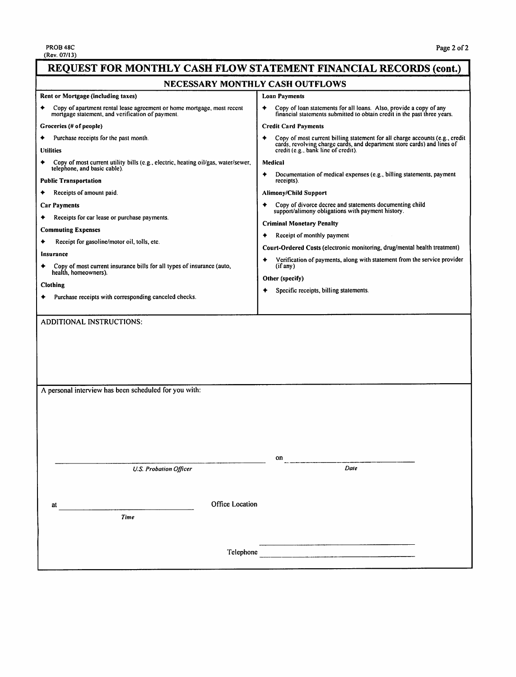| REQUEST FOR MONTHLY CASH FLOW STATEMENT FINANCIAL RECORDS (cont.)                                                             |                                                                                                                                                         |  |
|-------------------------------------------------------------------------------------------------------------------------------|---------------------------------------------------------------------------------------------------------------------------------------------------------|--|
| NECESSARY MONTHLY CASH OUTFLOWS                                                                                               |                                                                                                                                                         |  |
| Rent or Mortgage (including taxes)                                                                                            | Loan Payments                                                                                                                                           |  |
| Copy of apartment rental lease agreement or home mortgage, most recent<br>mortgage statement, and verification of payment.    | Copy of loan statements for all loans. Also, provide a copy of any<br>٠<br>financial statements submitted to obtain credit in the past three years.     |  |
| Groceries (# of people)                                                                                                       | <b>Credit Card Payments</b>                                                                                                                             |  |
| Purchase receipts for the past month.                                                                                         | Copy of most current billing statement for all charge accounts (e.g., credit<br>cards, revolving charge cards, and department store cards) and lines of |  |
| <b>Utilities</b>                                                                                                              | credit (e.g., bank line of credit).                                                                                                                     |  |
| Copy of most current utility bills (e.g., electric, heating oil/gas, water/sewer,<br>telephone, and basic cable).             | Medical                                                                                                                                                 |  |
| <b>Public Transportation</b>                                                                                                  | Documentation of medical expenses (e.g., billing statements, payment<br>receipts).                                                                      |  |
| Receipts of amount paid.                                                                                                      | <b>Alimony/Child Support</b>                                                                                                                            |  |
| <b>Car Payments</b>                                                                                                           | Copy of divorce decree and statements documenting child<br>support/alimony obligations with payment history.                                            |  |
| Receipts for car lease or purchase payments.                                                                                  | <b>Criminal Monetary Penalty</b>                                                                                                                        |  |
| <b>Commuting Expenses</b>                                                                                                     | Receipt of monthly payment                                                                                                                              |  |
| Receipt for gasoline/motor oil, tolls, etc.                                                                                   | Court-Ordered Costs (electronic monitoring, drug/mental health treatment)                                                                               |  |
| Insurance                                                                                                                     | Verification of payments, along with statement from the service provider                                                                                |  |
| Copy of most current insurance bills for all types of insurance (auto,<br>health, homeowners).                                | (i <sup>f</sup> any)                                                                                                                                    |  |
| <b>Clothing</b>                                                                                                               | Other (specify)                                                                                                                                         |  |
| Purchase receipts with corresponding canceled checks.                                                                         | Specific receipts, billing statements.                                                                                                                  |  |
|                                                                                                                               |                                                                                                                                                         |  |
| <b>ADDITIONAL INSTRUCTIONS:</b>                                                                                               |                                                                                                                                                         |  |
| A personal interview has been scheduled for you with:                                                                         |                                                                                                                                                         |  |
|                                                                                                                               | on                                                                                                                                                      |  |
| <b>U.S. Probation Officer</b>                                                                                                 | Date                                                                                                                                                    |  |
|                                                                                                                               |                                                                                                                                                         |  |
| Office Location                                                                                                               |                                                                                                                                                         |  |
| at<br>Time                                                                                                                    |                                                                                                                                                         |  |
|                                                                                                                               |                                                                                                                                                         |  |
| Telephone<br>and the control of the control of the control of the control of the control of the control of the control of the |                                                                                                                                                         |  |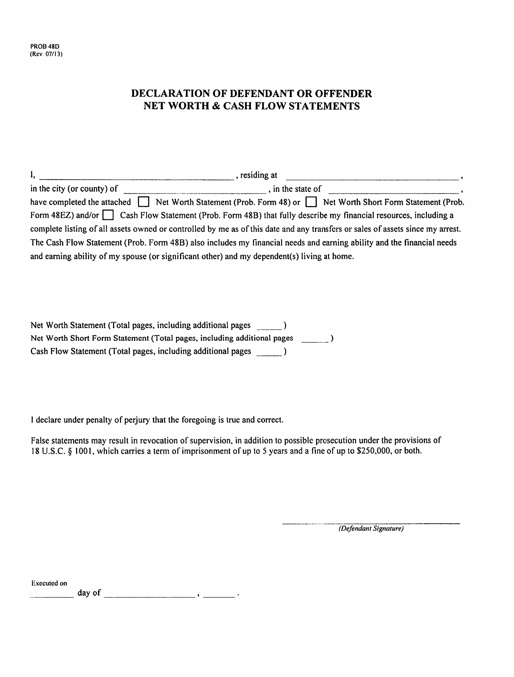### **DECLARATION OF DEFENDANT OR OFFENDER NET WORTH & CASH FLOW STATEMENTS**

| Ι, | , residing at                                                                                                                  |  |
|----|--------------------------------------------------------------------------------------------------------------------------------|--|
|    | in the city (or county) of $\overline{\phantom{a}}$<br>, in the state of                                                       |  |
|    | have completed the attached Net Worth Statement (Prob. Form 48) or Net Worth Short Form Statement (Prob.                       |  |
|    | Form 48EZ) and/or $\Box$ Cash Flow Statement (Prob. Form 48B) that fully describe my financial resources, including a          |  |
|    | complete listing of all assets owned or controlled by me as of this date and any transfers or sales of assets since my arrest. |  |
|    | The Cash Flow Statement (Prob. Form 48B) also includes my financial needs and earning ability and the financial needs          |  |
|    | and earning ability of my spouse (or significant other) and my dependent(s) living at home.                                    |  |

| Net Worth Statement (Total pages, including additional pages            |  |
|-------------------------------------------------------------------------|--|
| Net Worth Short Form Statement (Total pages, including additional pages |  |
| Cash Flow Statement (Total pages, including additional pages            |  |

I declare under penalty of perjury that the foregoing is true and correct.

False statements may result in revocation of supervision, in addition to possible prosecution under the provisions of 18 U.S.C. § 1001, which carries a term of imprisonment of up to 5 years and a fine of up to \$250,000, or both.

(Defendant Signature)

**Executed** on